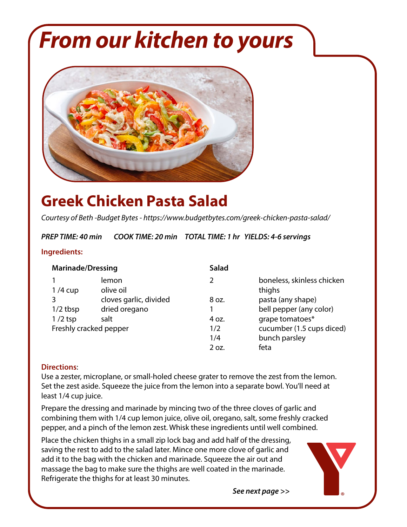## *From our kitchen to yours*



### **Greek Chicken Pasta Salad**

*Courtesy of Beth -Budget Bytes - https://www.budgetbytes.com/greek-chicken-pasta-salad/*

*PREP TIME: 40 min COOK TIME: 20 min TOTAL TIME: 1 hr YIELDS: 4-6 servings*

#### **Ingredients:**

| <b>Marinade/Dressing</b> |                        | <b>Salad</b>  |                                      |
|--------------------------|------------------------|---------------|--------------------------------------|
| $1/4$ cup                | lemon<br>olive oil     | $\mathcal{P}$ | boneless, skinless chicken<br>thighs |
|                          | cloves garlic, divided | 8 oz.         | pasta (any shape)                    |
| $1/2$ tbsp               | dried oregano          |               | bell pepper (any color)              |
| $1/2$ tsp                | salt                   | 4 oz.         | grape tomatoes*                      |
| Freshly cracked pepper   |                        | 1/2           | cucumber (1.5 cups diced)            |
|                          |                        | 1/4           | bunch parsley                        |
|                          |                        | 2 oz.         | feta                                 |

#### **Directions**:

Use a zester, microplane, or small-holed cheese grater to remove the zest from the lemon. Set the zest aside. Squeeze the juice from the lemon into a separate bowl. You'll need at least 1/4 cup juice.

Prepare the dressing and marinade by mincing two of the three cloves of garlic and combining them with 1/4 cup lemon juice, olive oil, oregano, salt, some freshly cracked pepper, and a pinch of the lemon zest. Whisk these ingredients until well combined.

Place the chicken thighs in a small zip lock bag and add half of the dressing, saving the rest to add to the salad later. Mince one more clove of garlic and add it to the bag with the chicken and marinade. Squeeze the air out and massage the bag to make sure the thighs are well coated in the marinade. Refrigerate the thighs for at least 30 minutes.



 *See next page >>*